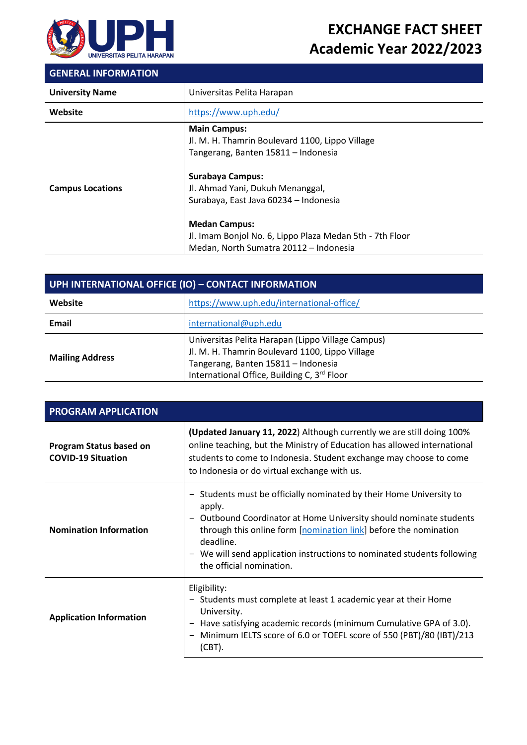

# **EXCHANGE FACT SHEET Academic Year 2022/2023**

### **GENERAL INFORMATION**

| <b>University Name</b>  | Universitas Pelita Harapan                                                                                                                                                                                                                                                                                                                          |
|-------------------------|-----------------------------------------------------------------------------------------------------------------------------------------------------------------------------------------------------------------------------------------------------------------------------------------------------------------------------------------------------|
| Website                 | https://www.uph.edu/                                                                                                                                                                                                                                                                                                                                |
| <b>Campus Locations</b> | <b>Main Campus:</b><br>Jl. M. H. Thamrin Boulevard 1100, Lippo Village<br>Tangerang, Banten 15811 - Indonesia<br><b>Surabaya Campus:</b><br>Jl. Ahmad Yani, Dukuh Menanggal,<br>Surabaya, East Java 60234 - Indonesia<br><b>Medan Campus:</b><br>Jl. Imam Bonjol No. 6, Lippo Plaza Medan 5th - 7th Floor<br>Medan, North Sumatra 20112 - Indonesia |

| UPH INTERNATIONAL OFFICE (IO) - CONTACT INFORMATION |                                                                                                                                                                                            |  |
|-----------------------------------------------------|--------------------------------------------------------------------------------------------------------------------------------------------------------------------------------------------|--|
| Website                                             | https://www.uph.edu/international-office/                                                                                                                                                  |  |
| Email                                               | international@uph.edu                                                                                                                                                                      |  |
| <b>Mailing Address</b>                              | Universitas Pelita Harapan (Lippo Village Campus)<br>Jl. M. H. Thamrin Boulevard 1100, Lippo Village<br>Tangerang, Banten 15811 - Indonesia<br>International Office, Building C, 3rd Floor |  |

| <b>PROGRAM APPLICATION</b>                           |                                                                                                                                                                                                                                                                                                                                       |  |
|------------------------------------------------------|---------------------------------------------------------------------------------------------------------------------------------------------------------------------------------------------------------------------------------------------------------------------------------------------------------------------------------------|--|
| Program Status based on<br><b>COVID-19 Situation</b> | (Updated January 11, 2022) Although currently we are still doing 100%<br>online teaching, but the Ministry of Education has allowed international<br>students to come to Indonesia. Student exchange may choose to come<br>to Indonesia or do virtual exchange with us.                                                               |  |
| <b>Nomination Information</b>                        | Students must be officially nominated by their Home University to<br>apply.<br>Outbound Coordinator at Home University should nominate students<br>through this online form [nomination link] before the nomination<br>deadline.<br>We will send application instructions to nominated students following<br>the official nomination. |  |
| <b>Application Information</b>                       | Eligibility:<br>- Students must complete at least 1 academic year at their Home<br>University.<br>Have satisfying academic records (minimum Cumulative GPA of 3.0).<br>Minimum IELTS score of 6.0 or TOEFL score of 550 (PBT)/80 (IBT)/213<br>(CBT).                                                                                  |  |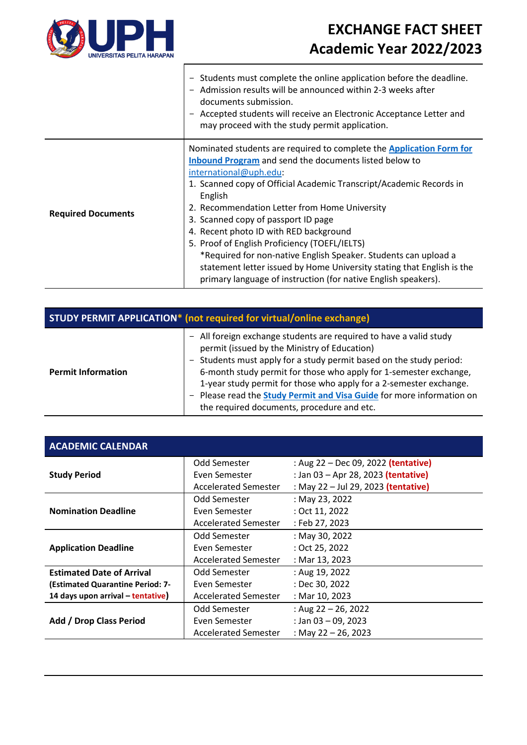

 $\lceil$ 

# **EXCHANGE FACT SHEET Academic Year 2022/2023**

|                           | Students must complete the online application before the deadline.<br>Admission results will be announced within 2-3 weeks after<br>documents submission.<br>- Accepted students will receive an Electronic Acceptance Letter and<br>may proceed with the study permit application.                                                                                                                                                                                                                                                                                                                                                          |
|---------------------------|----------------------------------------------------------------------------------------------------------------------------------------------------------------------------------------------------------------------------------------------------------------------------------------------------------------------------------------------------------------------------------------------------------------------------------------------------------------------------------------------------------------------------------------------------------------------------------------------------------------------------------------------|
| <b>Required Documents</b> | Nominated students are required to complete the Application Form for<br>Inbound Program and send the documents listed below to<br>international@uph.edu:<br>1. Scanned copy of Official Academic Transcript/Academic Records in<br>English<br>2. Recommendation Letter from Home University<br>3. Scanned copy of passport ID page<br>4. Recent photo ID with RED background<br>5. Proof of English Proficiency (TOEFL/IELTS)<br>*Required for non-native English Speaker. Students can upload a<br>statement letter issued by Home University stating that English is the<br>primary language of instruction (for native English speakers). |

| <b>STUDY PERMIT APPLICATION*</b> (not required for virtual/online exchange) |                                                                                                                                                                                                                                                                                                                                                                                                                                                                  |  |
|-----------------------------------------------------------------------------|------------------------------------------------------------------------------------------------------------------------------------------------------------------------------------------------------------------------------------------------------------------------------------------------------------------------------------------------------------------------------------------------------------------------------------------------------------------|--|
| <b>Permit Information</b>                                                   | - All foreign exchange students are required to have a valid study<br>permit (issued by the Ministry of Education)<br>- Students must apply for a study permit based on the study period:<br>6-month study permit for those who apply for 1-semester exchange,<br>1-year study permit for those who apply for a 2-semester exchange.<br>Please read the <b>Study Permit and Visa Guide</b> for more information on<br>the required documents, procedure and etc. |  |

| <b>ACADEMIC CALENDAR</b>          |                             |                                     |
|-----------------------------------|-----------------------------|-------------------------------------|
|                                   | Odd Semester                | : Aug 22 – Dec 09, 2022 (tentative) |
| <b>Study Period</b>               | Even Semester               | : Jan 03 - Apr 28, 2023 (tentative) |
|                                   | <b>Accelerated Semester</b> | : May 22 - Jul 29, 2023 (tentative) |
|                                   | Odd Semester                | : May 23, 2022                      |
| <b>Nomination Deadline</b>        | Even Semester               | : Oct 11, 2022                      |
|                                   | <b>Accelerated Semester</b> | : Feb 27, 2023                      |
|                                   | Odd Semester                | : May 30, 2022                      |
| <b>Application Deadline</b>       | Even Semester               | : Oct 25, 2022                      |
|                                   | <b>Accelerated Semester</b> | : Mar 13, 2023                      |
| <b>Estimated Date of Arrival</b>  | Odd Semester                | : Aug 19, 2022                      |
| (Estimated Quarantine Period: 7-  | Even Semester               | : Dec 30, 2022                      |
| 14 days upon arrival – tentative) | <b>Accelerated Semester</b> | : Mar 10, 2023                      |
|                                   | Odd Semester                | : Aug $22 - 26$ , 2022              |
| Add / Drop Class Period           | Even Semester               | : Jan $03 - 09$ , 2023              |
|                                   | <b>Accelerated Semester</b> | : May 22 - 26, 2023                 |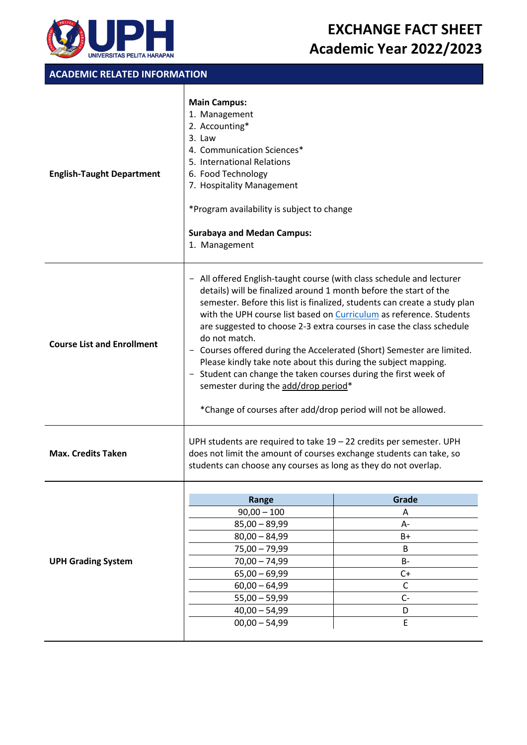

### **ACADEMIC RELATED INFORMATION**

| <b>English-Taught Department</b>  | <b>Main Campus:</b><br>1. Management<br>2. Accounting*<br>3. Law<br>4. Communication Sciences*<br>5. International Relations<br>6. Food Technology<br>7. Hospitality Management<br>*Program availability is subject to change<br><b>Surabaya and Medan Campus:</b><br>1. Management                                                                                                                                                                                                                                                                                                                                                                                                                         |
|-----------------------------------|-------------------------------------------------------------------------------------------------------------------------------------------------------------------------------------------------------------------------------------------------------------------------------------------------------------------------------------------------------------------------------------------------------------------------------------------------------------------------------------------------------------------------------------------------------------------------------------------------------------------------------------------------------------------------------------------------------------|
| <b>Course List and Enrollment</b> | - All offered English-taught course (with class schedule and lecturer<br>details) will be finalized around 1 month before the start of the<br>semester. Before this list is finalized, students can create a study plan<br>with the UPH course list based on Curriculum as reference. Students<br>are suggested to choose 2-3 extra courses in case the class schedule<br>do not match.<br>Courses offered during the Accelerated (Short) Semester are limited.<br>Please kindly take note about this during the subject mapping.<br>Student can change the taken courses during the first week of<br>semester during the add/drop period*<br>*Change of courses after add/drop period will not be allowed. |
| <b>Max. Credits Taken</b>         | UPH students are required to take $19 - 22$ credits per semester. UPH<br>does not limit the amount of courses exchange students can take, so<br>students can choose any courses as long as they do not overlap.                                                                                                                                                                                                                                                                                                                                                                                                                                                                                             |
|                                   |                                                                                                                                                                                                                                                                                                                                                                                                                                                                                                                                                                                                                                                                                                             |

|                           | Range           | Grade |
|---------------------------|-----------------|-------|
|                           | $90,00 - 100$   | A     |
|                           | $85,00 - 89,99$ | А-    |
| <b>UPH Grading System</b> | $80,00 - 84,99$ | $B+$  |
|                           | $75,00 - 79,99$ | B     |
|                           | $70,00 - 74,99$ | $B -$ |
|                           | $65,00 - 69,99$ | $C+$  |
|                           | $60,00 - 64,99$ |       |
|                           | $55,00 - 59,99$ | $C-$  |
|                           | $40,00 - 54,99$ | D     |
|                           | $00,00 - 54,99$ | F     |
|                           |                 |       |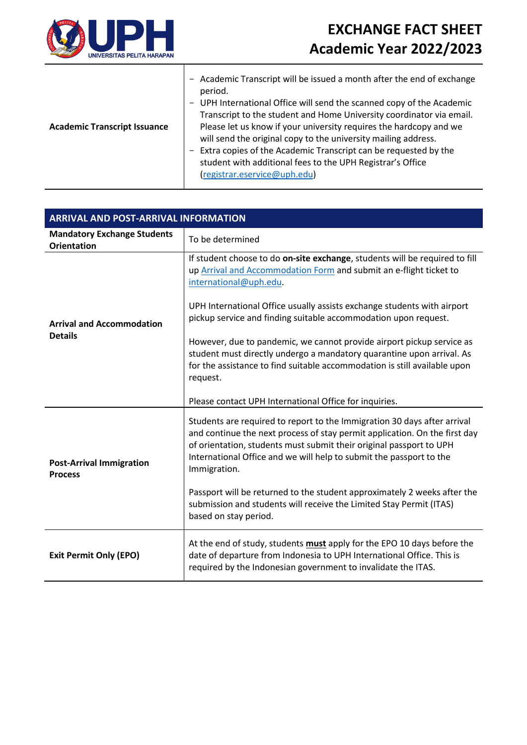

| <b>Academic Transcript Issuance</b> | Academic Transcript will be issued a month after the end of exchange<br>period.<br>UPH International Office will send the scanned copy of the Academic<br>Transcript to the student and Home University coordinator via email.<br>Please let us know if your university requires the hardcopy and we<br>will send the original copy to the university mailing address.<br>Extra copies of the Academic Transcript can be requested by the<br>student with additional fees to the UPH Registrar's Office |
|-------------------------------------|---------------------------------------------------------------------------------------------------------------------------------------------------------------------------------------------------------------------------------------------------------------------------------------------------------------------------------------------------------------------------------------------------------------------------------------------------------------------------------------------------------|
|                                     | (registrar.eservice@uph.edu)                                                                                                                                                                                                                                                                                                                                                                                                                                                                            |

| <b>ARRIVAL AND POST-ARRIVAL INFORMATION</b>              |                                                                                                                                                                                                                                                                                                                      |  |
|----------------------------------------------------------|----------------------------------------------------------------------------------------------------------------------------------------------------------------------------------------------------------------------------------------------------------------------------------------------------------------------|--|
| <b>Mandatory Exchange Students</b><br><b>Orientation</b> | To be determined                                                                                                                                                                                                                                                                                                     |  |
| <b>Arrival and Accommodation</b><br><b>Details</b>       | If student choose to do on-site exchange, students will be required to fill<br>up Arrival and Accommodation Form and submit an e-flight ticket to<br>international@uph.edu.                                                                                                                                          |  |
|                                                          | UPH International Office usually assists exchange students with airport<br>pickup service and finding suitable accommodation upon request.                                                                                                                                                                           |  |
|                                                          | However, due to pandemic, we cannot provide airport pickup service as<br>student must directly undergo a mandatory quarantine upon arrival. As<br>for the assistance to find suitable accommodation is still available upon<br>request.                                                                              |  |
|                                                          | Please contact UPH International Office for inquiries.                                                                                                                                                                                                                                                               |  |
| <b>Post-Arrival Immigration</b><br><b>Process</b>        | Students are required to report to the Immigration 30 days after arrival<br>and continue the next process of stay permit application. On the first day<br>of orientation, students must submit their original passport to UPH<br>International Office and we will help to submit the passport to the<br>Immigration. |  |
|                                                          | Passport will be returned to the student approximately 2 weeks after the<br>submission and students will receive the Limited Stay Permit (ITAS)<br>based on stay period.                                                                                                                                             |  |
| <b>Exit Permit Only (EPO)</b>                            | At the end of study, students must apply for the EPO 10 days before the<br>date of departure from Indonesia to UPH International Office. This is<br>required by the Indonesian government to invalidate the ITAS.                                                                                                    |  |